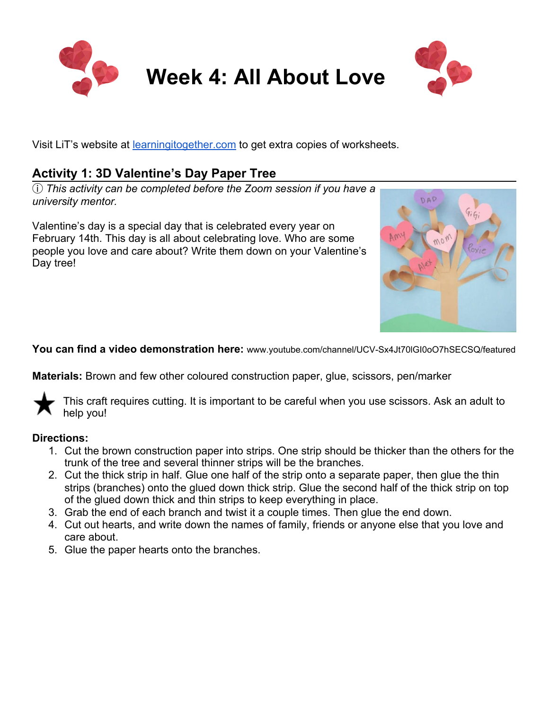

# **Week 4: All About Love**



Visit LiT's website at [learningitogether.com](https://l.facebook.com/l.php?u=http%3A%2F%2Flearningitogether.com%2F%3Ffbclid%3DIwAR2jrXHAH6VDd2ElpinGWxa3DyxYYNNE0rYoxehkvva4CHFRvn_WRqcIKNU&h=AT1K6DiP6Vd8wPtPt51MSWpcaHhJjmOz0ug0BYud4Kl1-MtPC0D1uCZULsjNxNOZYGYRsto8dP2CldujCIx_OTlLioKHn5XSEJ1DgUWPxcRrg8ralXOiBb9XI3wCecu4WqzwieI5gDp0qoY) to get extra copies of worksheets.

# **Activity 1: 3D Valentine's Day Paper Tree**

ⓘ *This activity can be completed before the Zoom session if you have a university mentor.*

Valentine's day is a special day that is celebrated every year on February 14th. This day is all about celebrating love. Who are some people you love and care about? Write them down on your Valentine's Day tree!



**You can find a video demonstration here:** www.youtube.com/channel/UCV-Sx4Jt70lGI0oO7hSECSQ/featured

**Materials:** Brown and few other coloured construction paper, glue, scissors, pen/marker

This craft requires cutting. It is important to be careful when you use scissors. Ask an adult to help you!

## **Directions:**

- 1. Cut the brown construction paper into strips. One strip should be thicker than the others for the trunk of the tree and several thinner strips will be the branches.
- 2. Cut the thick strip in half. Glue one half of the strip onto a separate paper, then glue the thin strips (branches) onto the glued down thick strip. Glue the second half of the thick strip on top of the glued down thick and thin strips to keep everything in place.
- 3. Grab the end of each branch and twist it a couple times. Then glue the end down.
- 4. Cut out hearts, and write down the names of family, friends or anyone else that you love and care about.
- 5. Glue the paper hearts onto the branches.